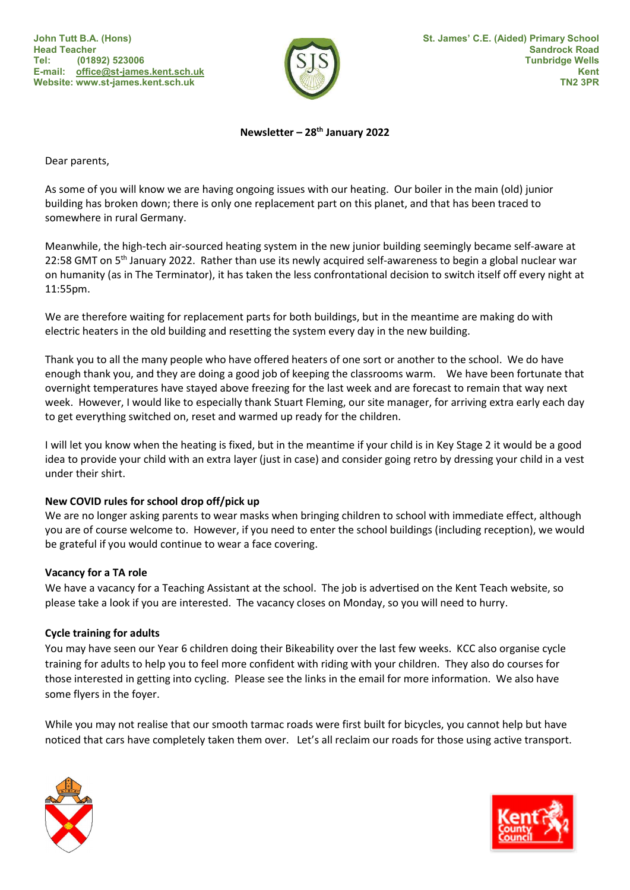

# Newsletter - 28<sup>th</sup> January 2022

Dear parents,

As some of you will know we are having ongoing issues with our heating. Our boiler in the main (old) junior building has broken down; there is only one replacement part on this planet, and that has been traced to somewhere in rural Germany.

Meanwhile, the high-tech air-sourced heating system in the new junior building seemingly became self-aware at 22:58 GMT on 5<sup>th</sup> January 2022. Rather than use its newly acquired self-awareness to begin a global nuclear war on humanity (as in The Terminator), it has taken the less confrontational decision to switch itself off every night at 11:55pm.

We are therefore waiting for replacement parts for both buildings, but in the meantime are making do with electric heaters in the old building and resetting the system every day in the new building.

Thank you to all the many people who have offered heaters of one sort or another to the school. We do have enough thank you, and they are doing a good job of keeping the classrooms warm. We have been fortunate that overnight temperatures have stayed above freezing for the last week and are forecast to remain that way next week. However, I would like to especially thank Stuart Fleming, our site manager, for arriving extra early each day to get everything switched on, reset and warmed up ready for the children.

I will let you know when the heating is fixed, but in the meantime if your child is in Key Stage 2 it would be a good idea to provide your child with an extra layer (just in case) and consider going retro by dressing your child in a vest under their shirt.

### New COVID rules for school drop off/pick up

We are no longer asking parents to wear masks when bringing children to school with immediate effect, although you are of course welcome to. However, if you need to enter the school buildings (including reception), we would be grateful if you would continue to wear a face covering.

### Vacancy for a TA role

We have a vacancy for a Teaching Assistant at the school. The job is advertised on the Kent Teach website, so please take a look if you are interested. The vacancy closes on Monday, so you will need to hurry.

### Cycle training for adults

You may have seen our Year 6 children doing their Bikeability over the last few weeks. KCC also organise cycle training for adults to help you to feel more confident with riding with your children. They also do courses for those interested in getting into cycling. Please see the links in the email for more information. We also have some flyers in the foyer.

While you may not realise that our smooth tarmac roads were first built for bicycles, you cannot help but have noticed that cars have completely taken them over. Let's all reclaim our roads for those using active transport.



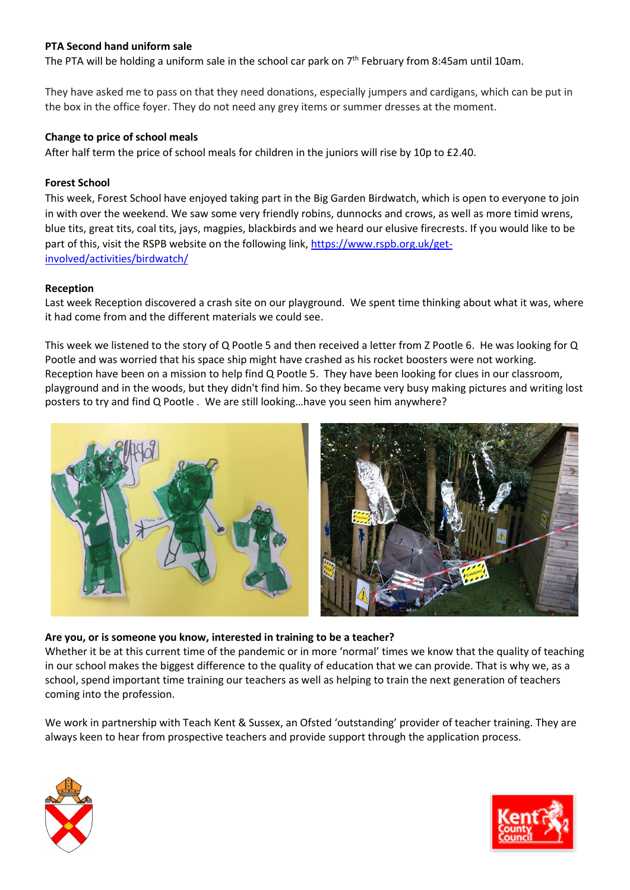# PTA Second hand uniform sale

The PTA will be holding a uniform sale in the school car park on  $7<sup>th</sup>$  February from 8:45am until 10am.

They have asked me to pass on that they need donations, especially jumpers and cardigans, which can be put in the box in the office foyer. They do not need any grey items or summer dresses at the moment.

### Change to price of school meals

After half term the price of school meals for children in the juniors will rise by 10p to £2.40.

### Forest School

This week, Forest School have enjoyed taking part in the Big Garden Birdwatch, which is open to everyone to join in with over the weekend. We saw some very friendly robins, dunnocks and crows, as well as more timid wrens, blue tits, great tits, coal tits, jays, magpies, blackbirds and we heard our elusive firecrests. If you would like to be part of this, visit the RSPB website on the following link, https://www.rspb.org.uk/getinvolved/activities/birdwatch/

### Reception

Last week Reception discovered a crash site on our playground. We spent time thinking about what it was, where it had come from and the different materials we could see.

This week we listened to the story of Q Pootle 5 and then received a letter from Z Pootle 6. He was looking for Q Pootle and was worried that his space ship might have crashed as his rocket boosters were not working. Reception have been on a mission to help find Q Pootle 5. They have been looking for clues in our classroom, playground and in the woods, but they didn't find him. So they became very busy making pictures and writing lost posters to try and find Q Pootle . We are still looking…have you seen him anywhere?



### Are you, or is someone you know, interested in training to be a teacher?

Whether it be at this current time of the pandemic or in more 'normal' times we know that the quality of teaching in our school makes the biggest difference to the quality of education that we can provide. That is why we, as a school, spend important time training our teachers as well as helping to train the next generation of teachers coming into the profession.

We work in partnership with Teach Kent & Sussex, an Ofsted 'outstanding' provider of teacher training. They are always keen to hear from prospective teachers and provide support through the application process.